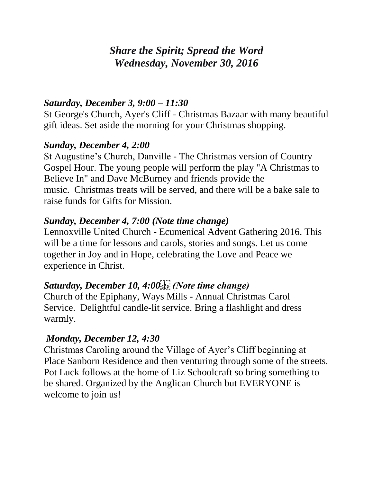# *Share the Spirit; Spread the Word Wednesday, November 30, 2016*

### *Saturday, December 3, 9:00 – 11:30*

St George's Church, Ayer's Cliff - Christmas Bazaar with many beautiful gift ideas. Set aside the morning for your Christmas shopping.

#### *Sunday, December 4, 2:00*

St Augustine's Church, Danville - The Christmas version of Country Gospel Hour. The young people will perform the play "A Christmas to Believe In" and Dave McBurney and friends provide the music. Christmas treats will be served, and there will be a bake sale to raise funds for Gifts for Mission.

# *Sunday, December 4, 7:00 (Note time change)*

Lennoxville United Church - Ecumenical Advent Gathering 2016. This will be a time for lessons and carols, stories and songs. Let us come together in Joy and in Hope, celebrating the Love and Peace we experience in Christ.

# Saturday, December 10, 4:00<sup>[1]</sup> (Note time change)

Church of the Epiphany, Ways Mills - Annual Christmas Carol Service. Delightful candle-lit service. Bring a flashlight and dress warmly.

# *Monday, December 12, 4:30*

Christmas Caroling around the Village of Ayer's Cliff beginning at Place Sanborn Residence and then venturing through some of the streets. Pot Luck follows at the home of Liz Schoolcraft so bring something to be shared. Organized by the Anglican Church but EVERYONE is welcome to join us!